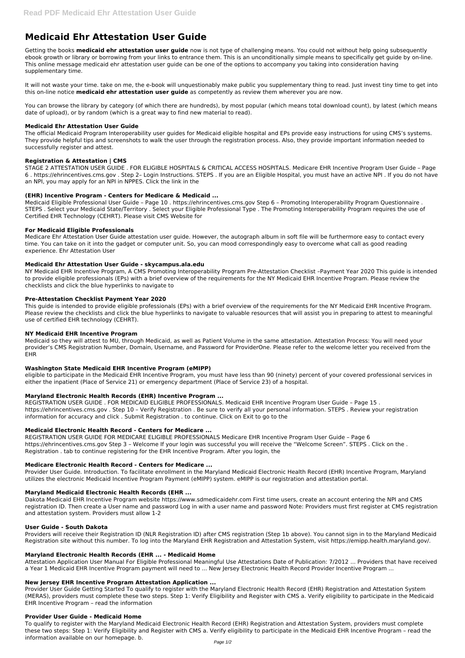# **Medicaid Ehr Attestation User Guide**

Getting the books **medicaid ehr attestation user guide** now is not type of challenging means. You could not without help going subsequently ebook growth or library or borrowing from your links to entrance them. This is an unconditionally simple means to specifically get guide by on-line. This online message medicaid ehr attestation user guide can be one of the options to accompany you taking into consideration having supplementary time.

It will not waste your time. take on me, the e-book will unquestionably make public you supplementary thing to read. Just invest tiny time to get into this on-line notice **medicaid ehr attestation user guide** as competently as review them wherever you are now.

You can browse the library by category (of which there are hundreds), by most popular (which means total download count), by latest (which means date of upload), or by random (which is a great way to find new material to read).

## **Medicaid Ehr Attestation User Guide**

The official Medicaid Program Interoperability user guides for Medicaid eligible hospital and EPs provide easy instructions for using CMS's systems. They provide helpful tips and screenshots to walk the user through the registration process. Also, they provide important information needed to successfully register and attest.

# **Registration & Attestation | CMS**

STAGE 2 ATTESTATION USER GUIDE . FOR ELIGIBLE HOSPITALS & CRITICAL ACCESS HOSPITALS. Medicare EHR Incentive Program User Guide – Page 6 . https://ehrincentives.cms.gov . Step 2– Login Instructions. STEPS . If you are an Eligible Hospital, you must have an active NPI . If you do not have an NPI, you may apply for an NPI in NPPES. Click the link in the

## **(EHR) Incentive Program - Centers for Medicare & Medicaid ...**

Medicaid Eligible Professional User Guide – Page 10 . https://ehrincentives.cms.gov Step 6 – Promoting Interoperability Program Questionnaire . STEPS . Select your Medicaid State/Territory . Select your Eligible Professional Type . The Promoting Interoperability Program requires the use of Certified EHR Technology (CEHRT). Please visit CMS Website for

## **For Medicaid Eligible Professionals**

Medicare Ehr Attestation User Guide attestation user guide. However, the autograph album in soft file will be furthermore easy to contact every time. You can take on it into the gadget or computer unit. So, you can mood correspondingly easy to overcome what call as good reading experience. Ehr Attestation User

## **Medicaid Ehr Attestation User Guide - skycampus.ala.edu**

NY Medicaid EHR Incentive Program, A CMS Promoting Interoperability Program Pre-Attestation Checklist –Payment Year 2020 This guide is intended to provide eligible professionals (EPs) with a brief overview of the requirements for the NY Medicaid EHR Incentive Program. Please review the checklists and click the blue hyperlinks to navigate to

## **Pre-Attestation Checklist Payment Year 2020**

This guide is intended to provide eligible professionals (EPs) with a brief overview of the requirements for the NY Medicaid EHR Incentive Program. Please review the checklists and click the blue hyperlinks to navigate to valuable resources that will assist you in preparing to attest to meaningful use of certified EHR technology (CEHRT).

## **NY Medicaid EHR Incentive Program**

Medicaid so they will attest to MU, through Medicaid, as well as Patient Volume in the same attestation. Attestation Process: You will need your provider's CMS Registration Number, Domain, Username, and Password for ProviderOne. Please refer to the welcome letter you received from the EHR

## **Washington State Medicaid EHR Incentive Program (eMIPP)**

eligible to participate in the Medicaid EHR Incentive Program, you must have less than 90 (ninety) percent of your covered professional services in either the inpatient (Place of Service 21) or emergency department (Place of Service 23) of a hospital.

# **Maryland Electronic Health Records (EHR) Incentive Program ...**

REGISTRATION USER GUIDE . FOR MEDICAID ELIGIBLE PROFESSIONALS. Medicaid EHR Incentive Program User Guide – Page 15 . https://ehrincentives.cms.gov . Step 10 – Verify Registration . Be sure to verify all your personal information. STEPS . Review your registration information for accuracy and click . Submit Registration . to continue. Click on Exit to go to the

## **Medicaid Electronic Health Record - Centers for Medicare ...**

REGISTRATION USER GUIDE FOR MEDICARE ELIGIBLE PROFESSIONALS Medicare EHR Incentive Program User Guide – Page 6 https://ehrincentives.cms.gov Step 3 – Welcome If your login was successful you will receive the "Welcome Screen". STEPS . Click on the . Registration . tab to continue registering for the EHR Incentive Program. After you login, the

## **Medicare Electronic Health Record - Centers for Medicare ...**

Provider User Guide. Introduction. To facilitate enrollment in the Maryland Medicaid Electronic Health Record (EHR) Incentive Program, Maryland utilizes the electronic Medicaid Incentive Program Payment (eMIPP) system. eMIPP is our registration and attestation portal.

## **Maryland Medicaid Electronic Health Records (EHR ...**

Dakota Medicaid EHR Incentive Program website https://www.sdmedicaidehr.com First time users, create an account entering the NPI and CMS registration ID. Then create a User name and password Log in with a user name and password Note: Providers must first register at CMS registration and attestation system. Providers must allow 1-2

#### **User Guide - South Dakota**

Providers will receive their Registration ID (NLR Registration ID) after CMS registration (Step 1b above). You cannot sign in to the Maryland Medicaid Registration site without this number. To log into the Maryland EHR Registration and Attestation System, visit https://emipp.health.maryland.gov/.

## **Maryland Electronic Health Records (EHR ... - Medicaid Home**

Attestation Application User Manual For Eligible Professional Meaningful Use Attestations Date of Publication: 7/2012 ... Providers that have received a Year 1 Medicaid EHR Incentive Program payment will need to ... New Jersey Electronic Health Record Provider Incentive Program ...

#### **New Jersey EHR Incentive Program Attestation Application ...**

Provider User Guide Getting Started To qualify to register with the Maryland Electronic Health Record (EHR) Registration and Attestation System (MERAS), providers must complete these two steps. Step 1: Verify Eligibility and Register with CMS a. Verify eligibility to participate in the Medicaid EHR Incentive Program – read the information

#### **Provider User Guide - Medicaid Home**

To qualify to register with the Maryland Medicaid Electronic Health Record (EHR) Registration and Attestation System, providers must complete these two steps: Step 1: Verify Eligibility and Register with CMS a. Verify eligibility to participate in the Medicaid EHR Incentive Program – read the information available on our homepage. b.